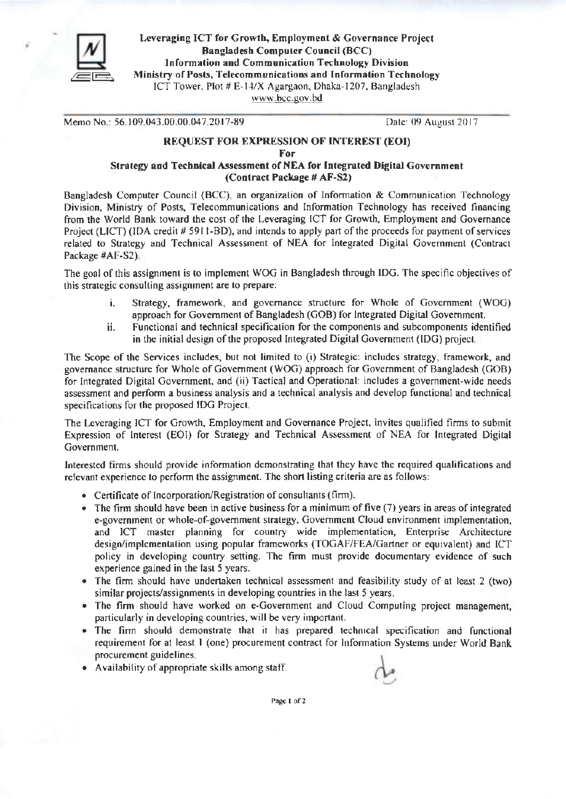

Leveraging ICT for Growth, Employment & Governance Project **Bangladesh Computer Council (BCC)** Information and Communication Technology Division Ministry of Posts, Telecommunications and Information Technology ICT Tower, Plot # E-14/X Agargaon, Dhaka-1207, Bangladesh www.bcc.gov.bd

Memo No.: 56.109.043.00.00.047.2017-89

Date: 09 August 2017

## **REQUEST FOR EXPRESSION OF INTEREST (EOI)** For Strategy and Technical Assessment of NEA for Integrated Digital Government

(Contract Package # AF-S2)

Bangladesh Computer Council (BCC), an organization of Information & Communication Technology Division, Ministry of Posts, Telecommunications and Information Technology has received financing from the World Bank toward the cost of the Leveraging ICT for Growth, Employment and Governance Project (LICT) (IDA credit # 5911-BD), and intends to apply part of the proceeds for payment of services related to Strategy and Technical Assessment of NEA for Integrated Digital Government (Contract Package #AF-S2).

The goal of this assignment is to implement WOG in Bangladesh through IDG. The specific objectives of this strategic consulting assignment are to prepare:

- Strategy, framework, and governance structure for Whole of Government (WOG) i. approach for Government of Bangladesh (GOB) for Integrated Digital Government.
- Functional and technical specification for the components and subcomponents identified ij. in the initial design of the proposed Integrated Digital Government (IDG) project.

The Scope of the Services includes, but not limited to (i) Strategic: includes strategy, framework, and governance structure for Whole of Government (WOG) approach for Government of Bangladesh (GOB) for Integrated Digital Government, and (ii) Tactical and Operational: includes a government-wide needs assessment and perform a business analysis and a technical analysis and develop functional and technical specifications for the proposed IDG Project,

The Leveraging ICT for Growth, Employment and Governance Project, invites qualified firms to submit Expression of Interest (EOI) for Strategy and Technical Assessment of NEA for Integrated Digital Government.

Interested firms should provide information demonstrating that they have the required qualifications and relevant experience to perform the assignment. The short listing criteria are as follows:

- Certificate of Incorporation/Registration of consultants (firm).
- The firm should have been in active business for a minimum of five  $(7)$  years in areas of integrated e-government or whole-of-government strategy, Government Cloud environment implementation, and ICT master planning for country wide implementation, Enterprise Architecture design/implementation using popular frameworks (TOGAF/FEA/Gartner or equivalent) and ICT policy in developing country setting. The firm must provide documentary evidence of such experience gained in the last 5 years.
- The firm should have undertaken technical assessment and feasibility study of at least 2 (two) similar projects/assignments in developing countries in the last 5 years.
- The firm should have worked on e-Government and Cloud Computing project management, particularly in developing countries, will be very important.
- The firm should demonstrate that it has prepared technical specification and functional requirement for at least 1 (one) procurement contract for Information Systems under World Bank procurement guidelines.
- Availability of appropriate skills among staff.



Page 1 of 2